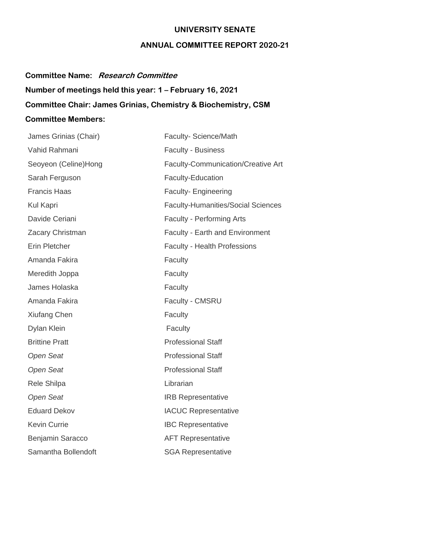#### **UNIVERSITY SENATE**

# **ANNUAL COMMITTEE REPORT 2020-21**

#### **Committee Name: Research Committee**

**Number of meetings held this year: 1 – February 16, 2021 Committee Chair: James Grinias, Chemistry & Biochemistry, CSM Committee Members:** 

| James Grinias (Chair) | Faculty- Science/Math                     |
|-----------------------|-------------------------------------------|
| Vahid Rahmani         | Faculty - Business                        |
| Seoyeon (Celine)Hong  | Faculty-Communication/Creative Art        |
| Sarah Ferguson        | Faculty-Education                         |
| <b>Francis Haas</b>   | Faculty- Engineering                      |
| <b>Kul Kapri</b>      | <b>Faculty-Humanities/Social Sciences</b> |
| Davide Ceriani        | <b>Faculty - Performing Arts</b>          |
| Zacary Christman      | Faculty - Earth and Environment           |
| Erin Pletcher         | Faculty - Health Professions              |
| Amanda Fakira         | Faculty                                   |
| Meredith Joppa        | Faculty                                   |
| James Holaska         | Faculty                                   |
| Amanda Fakira         | Faculty - CMSRU                           |
| Xiufang Chen          | Faculty                                   |
| Dylan Klein           | Faculty                                   |
| <b>Brittine Pratt</b> | <b>Professional Staff</b>                 |
| <b>Open Seat</b>      | <b>Professional Staff</b>                 |
| Open Seat             | <b>Professional Staff</b>                 |
| Rele Shilpa           | Librarian                                 |
| Open Seat             | <b>IRB Representative</b>                 |
| <b>Eduard Dekov</b>   | <b>IACUC Representative</b>               |
| <b>Kevin Currie</b>   | <b>IBC Representative</b>                 |
| Benjamin Saracco      | <b>AFT Representative</b>                 |
| Samantha Bollendoft   | <b>SGA Representative</b>                 |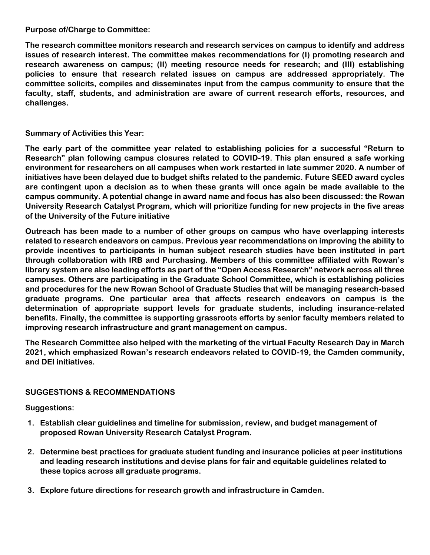## **Purpose of/Charge to Committee:**

**The research committee monitors research and research services on campus to identify and address issues of research interest. The committee makes recommendations for (I) promoting research and research awareness on campus; (II) meeting resource needs for research; and (III) establishing policies to ensure that research related issues on campus are addressed appropriately. The committee solicits, compiles and disseminates input from the campus community to ensure that the faculty, staff, students, and administration are aware of current research efforts, resources, and challenges.**

## **Summary of Activities this Year:**

**The early part of the committee year related to establishing policies for a successful "Return to Research" plan following campus closures related to COVID-19. This plan ensured a safe working environment for researchers on all campuses when work restarted in late summer 2020. A number of initiatives have been delayed due to budget shifts related to the pandemic. Future SEED award cycles are contingent upon a decision as to when these grants will once again be made available to the campus community. A potential change in award name and focus has also been discussed: the Rowan University Research Catalyst Program, which will prioritize funding for new projects in the five areas of the University of the Future initiative**

**Outreach has been made to a number of other groups on campus who have overlapping interests related to research endeavors on campus. Previous year recommendations on improving the ability to provide incentives to participants in human subject research studies have been instituted in part through collaboration with IRB and Purchasing. Members of this committee affiliated with Rowan's library system are also leading efforts as part of the "Open Access Research" network across all three campuses. Others are participating in the Graduate School Committee, which is establishing policies and procedures for the new Rowan School of Graduate Studies that will be managing research-based graduate programs. One particular area that affects research endeavors on campus is the determination of appropriate support levels for graduate students, including insurance-related benefits. Finally, the committee is supporting grassroots efforts by senior faculty members related to improving research infrastructure and grant management on campus.**

**The Research Committee also helped with the marketing of the virtual Faculty Research Day in March 2021, which emphasized Rowan's research endeavors related to COVID-19, the Camden community, and DEI initiatives.**

## **SUGGESTIONS & RECOMMENDATIONS**

## **Suggestions:**

- **1. Establish clear guidelines and timeline for submission, review, and budget management of proposed Rowan University Research Catalyst Program.**
- **2. Determine best practices for graduate student funding and insurance policies at peer institutions and leading research institutions and devise plans for fair and equitable guidelines related to these topics across all graduate programs.**
- **3. Explore future directions for research growth and infrastructure in Camden.**